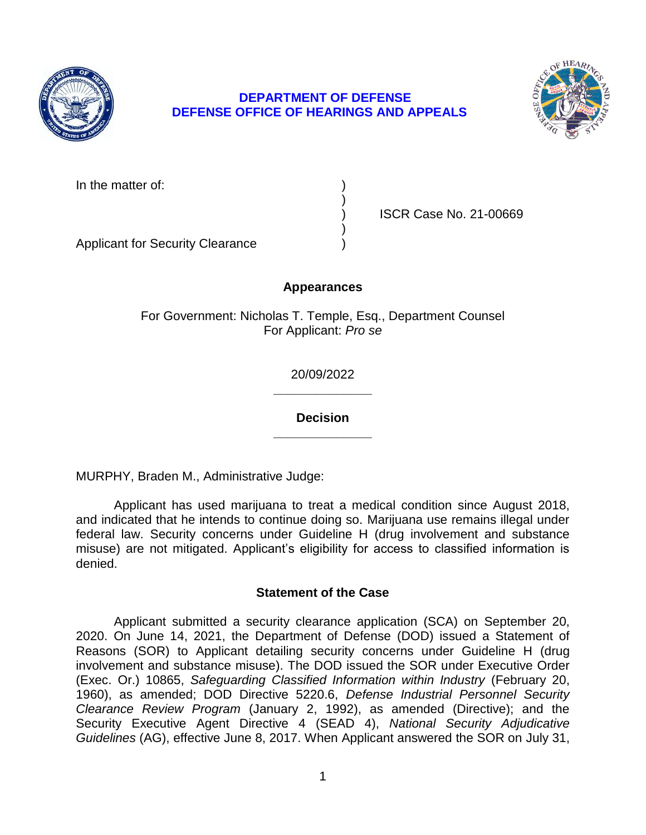

# **DEPARTMENT OF DEFENSE DEFENSE OFFICE OF HEARINGS AND APPEALS**



In the matter of:

) ISCR Case No. 21-00669

Applicant for Security Clearance )

# **Appearances**

)

)

For Government: Nicholas T. Temple, Esq., Department Counsel For Applicant: *Pro se* 

> **\_\_\_\_\_\_\_\_\_\_\_\_\_\_**  20/09/2022

> **\_\_\_\_\_\_\_\_\_\_\_\_\_\_ Decision**

MURPHY, Braden M., Administrative Judge:

 Applicant has used marijuana to treat a medical condition since August 2018, and indicated that he intends to continue doing so. Marijuana use remains illegal under federal law. Security concerns under Guideline H (drug involvement and substance misuse) are not mitigated. Applicant's eligibility for access to classified information is denied.

## **Statement of the Case**

 Applicant submitted a security clearance application (SCA) on September 20, 2020. On June 14, 2021, the Department of Defense (DOD) issued a Statement of involvement and substance misuse). The DOD issued the SOR under Executive Order  (Exec. Or.) 10865, *Safeguarding Classified Information within Industry* (February 20,  *Clearance Review Program* (January 2, 1992), as amended (Directive); and the Security Executive Agent Directive 4 (SEAD 4), *National Security Adjudicative Guidelines* (AG), effective June 8, 2017. When Applicant answered the SOR on July 31, Reasons (SOR) to Applicant detailing security concerns under Guideline H (drug 1960), as amended; DOD Directive 5220.6, *Defense Industrial Personnel Security*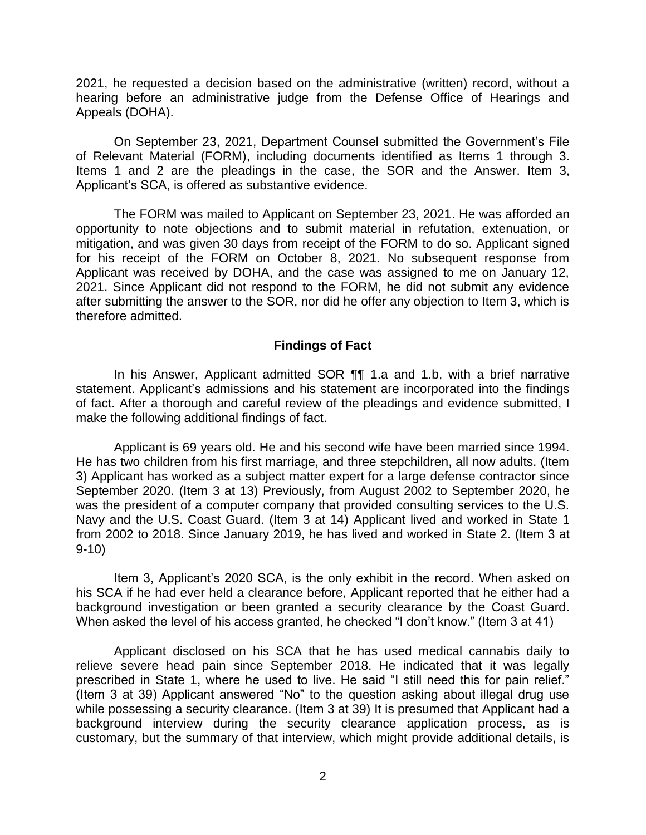2021, he requested a decision based on the administrative (written) record, without a hearing before an administrative judge from the Defense Office of Hearings and Appeals (DOHA).

 On September 23, 2021, Department Counsel submitted the Government's File of Relevant Material (FORM), including documents identified as Items 1 through 3. Items 1 and 2 are the pleadings in the case, the SOR and the Answer. Item 3, Applicant's SCA, is offered as substantive evidence.

 The FORM was mailed to Applicant on September 23, 2021. He was afforded an opportunity to note objections and to submit material in refutation, extenuation, or mitigation, and was given 30 days from receipt of the FORM to do so. Applicant signed for his receipt of the FORM on October 8, 2021. No subsequent response from Applicant was received by DOHA, and the case was assigned to me on January 12, 2021. Since Applicant did not respond to the FORM, he did not submit any evidence after submitting the answer to the SOR, nor did he offer any objection to Item 3, which is therefore admitted.

#### **Findings of Fact**

 In his Answer, Applicant admitted SOR ¶¶ 1.a and 1.b, with a brief narrative statement. Applicant's admissions and his statement are incorporated into the findings of fact. After a thorough and careful review of the pleadings and evidence submitted, I make the following additional findings of fact.

Applicant is 69 years old. He and his second wife have been married since 1994. He has two children from his first marriage, and three stepchildren, all now adults. (Item 3) Applicant has worked as a subject matter expert for a large defense contractor since September 2020. (Item 3 at 13) Previously, from August 2002 to September 2020, he was the president of a computer company that provided consulting services to the U.S. Navy and the U.S. Coast Guard. (Item 3 at 14) Applicant lived and worked in State 1 from 2002 to 2018. Since January 2019, he has lived and worked in State 2. (Item 3 at 9-10)

 Item 3, Applicant's 2020 SCA, is the only exhibit in the record. When asked on his SCA if he had ever held a clearance before, Applicant reported that he either had a background investigation or been granted a security clearance by the Coast Guard. When asked the level of his access granted, he checked "I don't know." (Item 3 at 41)

 Applicant disclosed on his SCA that he has used medical cannabis daily to relieve severe head pain since September 2018. He indicated that it was legally prescribed in State 1, where he used to live. He said "I still need this for pain relief." (Item 3 at 39) Applicant answered "No" to the question asking about illegal drug use while possessing a security clearance. (Item 3 at 39) It is presumed that Applicant had a background interview during the security clearance application process, as is customary, but the summary of that interview, which might provide additional details, is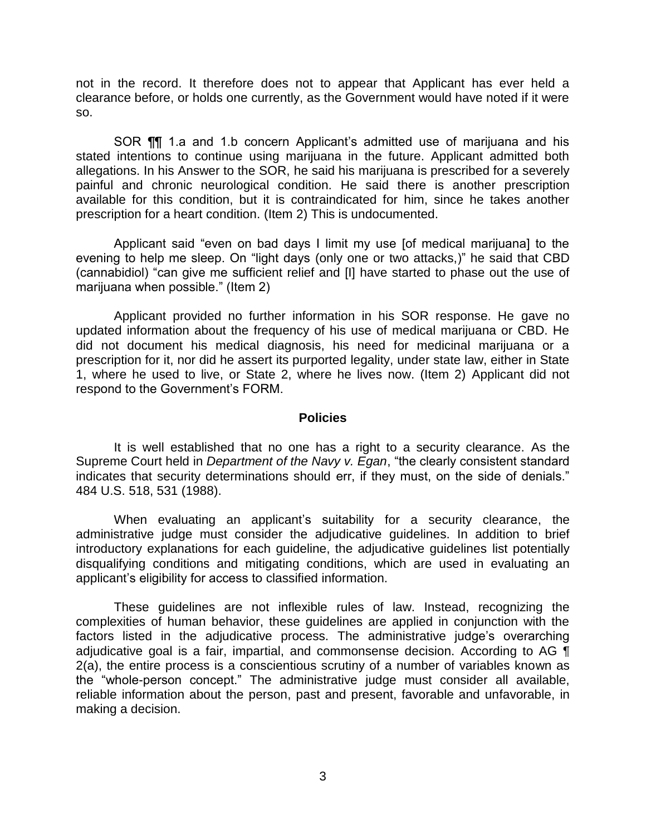not in the record. It therefore does not to appear that Applicant has ever held a clearance before, or holds one currently, as the Government would have noted if it were so.

SOR ¶¶ 1.a and 1.b concern Applicant's admitted use of marijuana and his stated intentions to continue using marijuana in the future. Applicant admitted both allegations. In his Answer to the SOR, he said his marijuana is prescribed for a severely available for this condition, but it is contraindicated for him, since he takes another prescription for a heart condition. (Item 2) This is undocumented. painful and chronic neurological condition. He said there is another prescription

 Applicant said "even on bad days I limit my use [of medical marijuana] to the evening to help me sleep. On "light days (only one or two attacks,)" he said that CBD (cannabidiol) "can give me sufficient relief and [I] have started to phase out the use of marijuana when possible." (Item 2)

 Applicant provided no further information in his SOR response. He gave no updated information about the frequency of his use of medical marijuana or CBD. He did not document his medical diagnosis, his need for medicinal marijuana or a 1, where he used to live, or State 2, where he lives now. (Item 2) Applicant did not prescription for it, nor did he assert its purported legality, under state law, either in State respond to the Government's FORM.

#### **Policies**

 It is well established that no one has a right to a security clearance. As the Supreme Court held in *Department of the Navy v. Egan*, "the clearly consistent standard indicates that security determinations should err, if they must, on the side of denials." 484 U.S. 518, 531 (1988).

 administrative judge must consider the adjudicative guidelines. In addition to brief introductory explanations for each guideline, the adjudicative guidelines list potentially disqualifying conditions and mitigating conditions, which are used in evaluating an When evaluating an applicant's suitability for a security clearance, the applicant's eligibility for access to classified information.

 These guidelines are not inflexible rules of law. Instead, recognizing the complexities of human behavior, these guidelines are applied in conjunction with the factors listed in the adjudicative process. The administrative judge's overarching adjudicative goal is a fair, impartial, and commonsense decision. According to AG ¶ 2(a), the entire process is a conscientious scrutiny of a number of variables known as the "whole-person concept." The administrative judge must consider all available, reliable information about the person, past and present, favorable and unfavorable, in making a decision.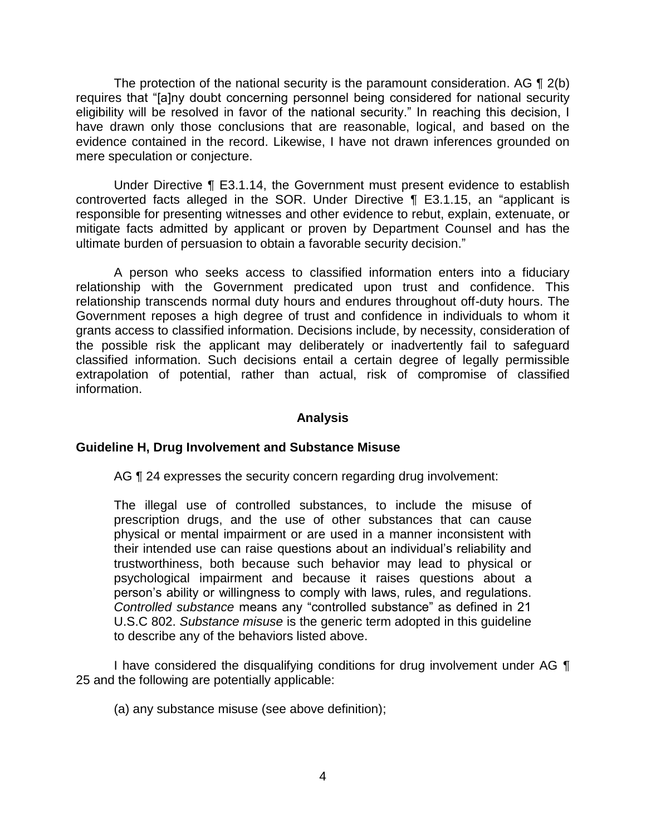The protection of the national security is the paramount consideration. AG  $\P$  2(b) eligibility will be resolved in favor of the national security." In reaching this decision, I have drawn only those conclusions that are reasonable, logical, and based on the evidence contained in the record. Likewise, I have not drawn inferences grounded on requires that "[a]ny doubt concerning personnel being considered for national security mere speculation or conjecture.

 Under Directive ¶ E3.1.14, the Government must present evidence to establish controverted facts alleged in the SOR. Under Directive ¶ E3.1.15, an "applicant is responsible for presenting witnesses and other evidence to rebut, explain, extenuate, or mitigate facts admitted by applicant or proven by Department Counsel and has the ultimate burden of persuasion to obtain a favorable security decision."

 A person who seeks access to classified information enters into a fiduciary relationship with the Government predicated upon trust and confidence. This relationship transcends normal duty hours and endures throughout off-duty hours. The Government reposes a high degree of trust and confidence in individuals to whom it grants access to classified information. Decisions include, by necessity, consideration of the possible risk the applicant may deliberately or inadvertently fail to safeguard classified information. Such decisions entail a certain degree of legally permissible extrapolation of potential, rather than actual, risk of compromise of classified information.

### **Analysis**

### **Guideline H, Drug Involvement and Substance Misuse**

AG ¶ 24 expresses the security concern regarding drug involvement:

The illegal use of controlled substances, to include the misuse of prescription drugs, and the use of other substances that can cause physical or mental impairment or are used in a manner inconsistent with their intended use can raise questions about an individual's reliability and trustworthiness, both because such behavior may lead to physical or psychological impairment and because it raises questions about a person's ability or willingness to comply with laws, rules, and regulations. *Controlled substance* means any "controlled substance" as defined in 21 U.S.C 802. *Substance misuse* is the generic term adopted in this guideline to describe any of the behaviors listed above.

I have considered the disqualifying conditions for drug involvement under AG  $\P$ 25 and the following are potentially applicable:

(a) any substance misuse (see above definition);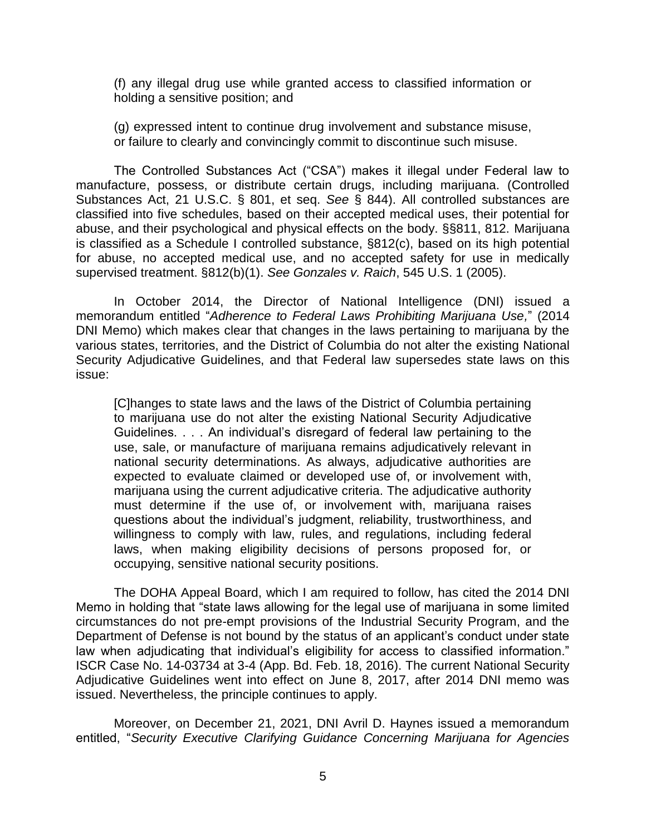(f) any illegal drug use while granted access to classified information or holding a sensitive position; and

 (g) expressed intent to continue drug involvement and substance misuse, or failure to clearly and convincingly commit to discontinue such misuse.

The Controlled Substances Act ("CSA") makes it illegal under Federal law to manufacture, possess, or distribute certain drugs, including marijuana. (Controlled Substances Act, 21 U.S.C. § 801, et seq. *See* § 844). All controlled substances are classified into five schedules, based on their accepted medical uses, their potential for abuse, and their psychological and physical effects on the body. §§811, 812. Marijuana is classified as a Schedule I controlled substance, §812(c), based on its high potential for abuse, no accepted medical use, and no accepted safety for use in medically supervised treatment. §812(b)(1). *See Gonzales v. Raich*, 545 U.S. 1 (2005).

 In October 2014, the Director of National Intelligence (DNI) issued a memorandum entitled "*Adherence to Federal Laws Prohibiting Marijuana Use,*" (2014 DNI Memo) which makes clear that changes in the laws pertaining to marijuana by the various states, territories, and the District of Columbia do not alter the existing National Security Adjudicative Guidelines, and that Federal law supersedes state laws on this issue:

[C]hanges to state laws and the laws of the District of Columbia pertaining to marijuana use do not alter the existing National Security Adjudicative Guidelines. . . . An individual's disregard of federal law pertaining to the use, sale, or manufacture of marijuana remains adjudicatively relevant in national security determinations. As always, adjudicative authorities are expected to evaluate claimed or developed use of, or involvement with, marijuana using the current adjudicative criteria. The adjudicative authority must determine if the use of, or involvement with, marijuana raises questions about the individual's judgment, reliability, trustworthiness, and willingness to comply with law, rules, and regulations, including federal laws, when making eligibility decisions of persons proposed for, or occupying, sensitive national security positions.

The DOHA Appeal Board, which I am required to follow, has cited the 2014 DNI Memo in holding that "state laws allowing for the legal use of marijuana in some limited circumstances do not pre-empt provisions of the Industrial Security Program, and the Department of Defense is not bound by the status of an applicant's conduct under state law when adjudicating that individual's eligibility for access to classified information." ISCR Case No. 14-03734 at 3-4 (App. Bd. Feb. 18, 2016). The current National Security Adjudicative Guidelines went into effect on June 8, 2017, after 2014 DNI memo was issued. Nevertheless, the principle continues to apply.

Moreover, on December 21, 2021, DNI Avril D. Haynes issued a memorandum entitled, "*Security Executive Clarifying Guidance Concerning Marijuana for Agencies*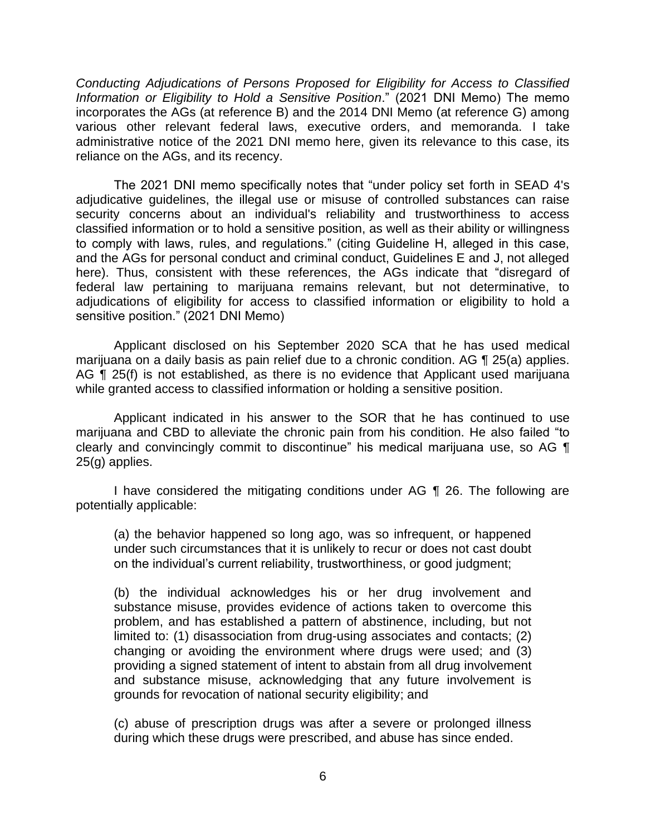*Conducting Adjudications of Persons Proposed for Eligibility for Access to Classified Information or Eligibility to Hold a Sensitive Position*." (2021 DNI Memo) The memo incorporates the AGs (at reference B) and the 2014 DNI Memo (at reference G) among various other relevant federal laws, executive orders, and memoranda. I take administrative notice of the 2021 DNI memo here, given its relevance to this case, its reliance on the AGs, and its recency.

 The 2021 DNI memo specifically notes that "under policy set forth in SEAD 4's adjudicative guidelines, the illegal use or misuse of controlled substances can raise security concerns about an individual's reliability and trustworthiness to access classified information or to hold a sensitive position, as well as their ability or willingness to comply with laws, rules, and regulations." (citing Guideline H, alleged in this case, and the AGs for personal conduct and criminal conduct, Guidelines E and J, not alleged here). Thus, consistent with these references, the AGs indicate that "disregard of federal law pertaining to marijuana remains relevant, but not determinative, to adjudications of eligibility for access to classified information or eligibility to hold a sensitive position." (2021 DNI Memo)

 Applicant disclosed on his September 2020 SCA that he has used medical marijuana on a daily basis as pain relief due to a chronic condition. AG ¶ 25(a) applies. AG ¶ 25(f) is not established, as there is no evidence that Applicant used marijuana while granted access to classified information or holding a sensitive position.

 Applicant indicated in his answer to the SOR that he has continued to use marijuana and CBD to alleviate the chronic pain from his condition. He also failed "to clearly and convincingly commit to discontinue" his medical marijuana use, so AG ¶ 25(g) applies.

I have considered the mitigating conditions under AG ¶ 26. The following are potentially applicable:

(a) the behavior happened so long ago, was so infrequent, or happened under such circumstances that it is unlikely to recur or does not cast doubt on the individual's current reliability, trustworthiness, or good judgment;

(b) the individual acknowledges his or her drug involvement and substance misuse, provides evidence of actions taken to overcome this problem, and has established a pattern of abstinence, including, but not limited to: (1) disassociation from drug-using associates and contacts; (2) changing or avoiding the environment where drugs were used; and (3) providing a signed statement of intent to abstain from all drug involvement and substance misuse, acknowledging that any future involvement is grounds for revocation of national security eligibility; and

 (c) abuse of prescription drugs was after a severe or prolonged illness during which these drugs were prescribed, and abuse has since ended.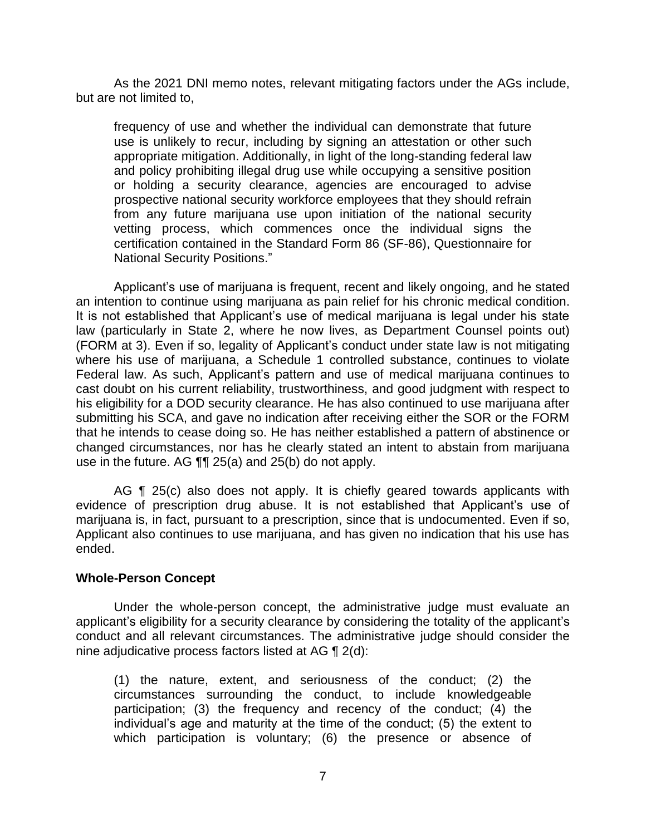As the 2021 DNI memo notes, relevant mitigating factors under the AGs include, but are not limited to,

frequency of use and whether the individual can demonstrate that future use is unlikely to recur, including by signing an attestation or other such appropriate mitigation. Additionally, in light of the long-standing federal law and policy prohibiting illegal drug use while occupying a sensitive position or holding a security clearance, agencies are encouraged to advise prospective national security workforce employees that they should refrain from any future marijuana use upon initiation of the national security vetting process, which commences once the individual signs the certification contained in the Standard Form 86 (SF-86), Questionnaire for National Security Positions."

Applicant's use of marijuana is frequent, recent and likely ongoing, and he stated an intention to continue using marijuana as pain relief for his chronic medical condition. It is not established that Applicant's use of medical marijuana is legal under his state law (particularly in State 2, where he now lives, as Department Counsel points out) (FORM at 3). Even if so, legality of Applicant's conduct under state law is not mitigating where his use of marijuana, a Schedule 1 controlled substance, continues to violate Federal law. As such, Applicant's pattern and use of medical marijuana continues to cast doubt on his current reliability, trustworthiness, and good judgment with respect to his eligibility for a DOD security clearance. He has also continued to use marijuana after submitting his SCA, and gave no indication after receiving either the SOR or the FORM that he intends to cease doing so. He has neither established a pattern of abstinence or changed circumstances, nor has he clearly stated an intent to abstain from marijuana use in the future. AG ¶¶ 25(a) and 25(b) do not apply.

AG ¶ 25(c) also does not apply. It is chiefly geared towards applicants with evidence of prescription drug abuse. It is not established that Applicant's use of marijuana is, in fact, pursuant to a prescription, since that is undocumented. Even if so, Applicant also continues to use marijuana, and has given no indication that his use has ended.

## **Whole-Person Concept**

 Under the whole-person concept, the administrative judge must evaluate an applicant's eligibility for a security clearance by considering the totality of the applicant's conduct and all relevant circumstances. The administrative judge should consider the nine adjudicative process factors listed at AG ¶ 2(d):

(1) the nature, extent, and seriousness of the conduct; (2) the circumstances surrounding the conduct, to include knowledgeable participation; (3) the frequency and recency of the conduct; (4) the individual's age and maturity at the time of the conduct; (5) the extent to which participation is voluntary; (6) the presence or absence of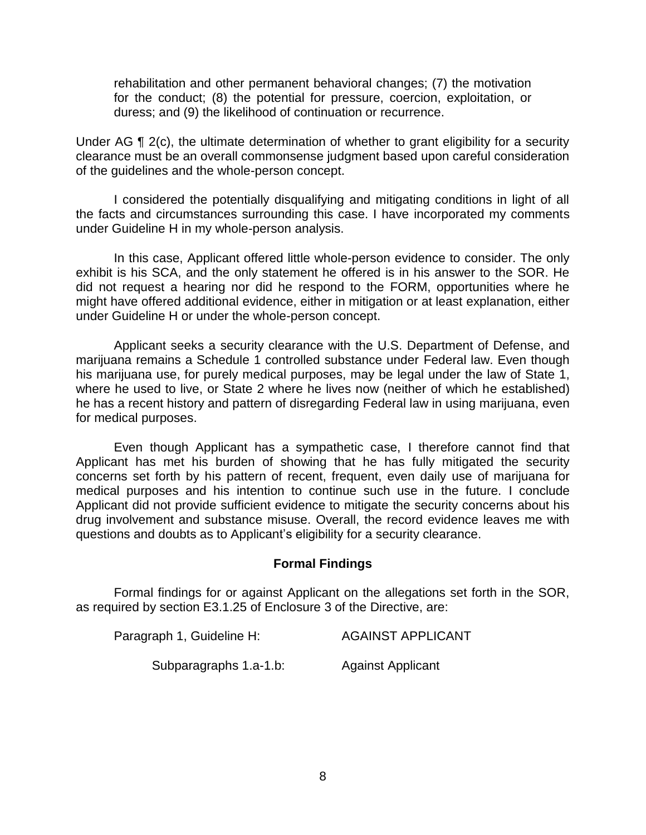rehabilitation and other permanent behavioral changes; (7) the motivation for the conduct; (8) the potential for pressure, coercion, exploitation, or duress; and (9) the likelihood of continuation or recurrence.

Under AG ¶ 2(c), the ultimate determination of whether to grant eligibility for a security clearance must be an overall commonsense judgment based upon careful consideration of the guidelines and the whole-person concept.

 I considered the potentially disqualifying and mitigating conditions in light of all the facts and circumstances surrounding this case. I have incorporated my comments under Guideline H in my whole-person analysis.

 In this case, Applicant offered little whole-person evidence to consider. The only exhibit is his SCA, and the only statement he offered is in his answer to the SOR. He did not request a hearing nor did he respond to the FORM, opportunities where he might have offered additional evidence, either in mitigation or at least explanation, either under Guideline H or under the whole-person concept.

 Applicant seeks a security clearance with the U.S. Department of Defense, and marijuana remains a Schedule 1 controlled substance under Federal law. Even though his marijuana use, for purely medical purposes, may be legal under the law of State 1, where he used to live, or State 2 where he lives now (neither of which he established) he has a recent history and pattern of disregarding Federal law in using marijuana, even for medical purposes.

 Even though Applicant has a sympathetic case, I therefore cannot find that Applicant has met his burden of showing that he has fully mitigated the security concerns set forth by his pattern of recent, frequent, even daily use of marijuana for medical purposes and his intention to continue such use in the future. I conclude Applicant did not provide sufficient evidence to mitigate the security concerns about his drug involvement and substance misuse. Overall, the record evidence leaves me with questions and doubts as to Applicant's eligibility for a security clearance.

### **Formal Findings**

 Formal findings for or against Applicant on the allegations set forth in the SOR, as required by section E3.1.25 of Enclosure 3 of the Directive, are:

| Paragraph 1, Guideline H: | <b>AGAINST APPLICANT</b> |
|---------------------------|--------------------------|
| Subparagraphs 1.a-1.b:    | <b>Against Applicant</b> |